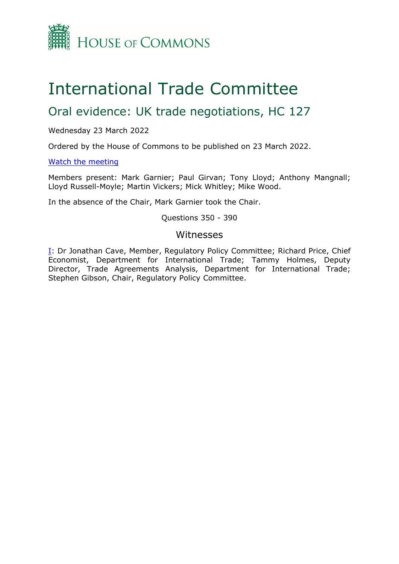

# International Trade Committee

## Oral evidence: UK trade negotiations, HC 127

Wednesday 23 March 2022

Ordered by the House of Commons to be published on 23 March 2022.

[Watch](https://www.parliamentlive.tv/Event/Index/c1763de8-67f7-4678-bd88-655b9076dc73) [the](https://www.parliamentlive.tv/Event/Index/c1763de8-67f7-4678-bd88-655b9076dc73) [meeting](https://www.parliamentlive.tv/Event/Index/c1763de8-67f7-4678-bd88-655b9076dc73)

Members present: Mark Garnier; Paul Girvan; Tony Lloyd; Anthony Mangnall; Lloyd Russell-Moyle; Martin Vickers; Mick Whitley; Mike Wood.

In the absence of the Chair, Mark Garnier took the Chair.

Questions 350 - 390

## Witnesses

[I:](#page-1-0) Dr Jonathan Cave, Member, Regulatory Policy Committee; Richard Price, Chief Economist, Department for International Trade; Tammy Holmes, Deputy Director, Trade Agreements Analysis, Department for International Trade; Stephen Gibson, Chair, Regulatory Policy Committee.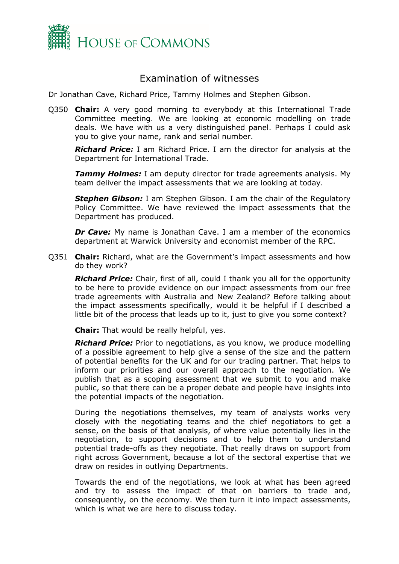

## <span id="page-1-0"></span>Examination of witnesses

Dr Jonathan Cave, Richard Price, Tammy Holmes and Stephen Gibson.

Q350 **Chair:** A very good morning to everybody at this International Trade Committee meeting. We are looking at economic modelling on trade deals. We have with us a very distinguished panel. Perhaps I could ask you to give your name, rank and serial number.

*Richard Price:* I am Richard Price. I am the director for analysis at the Department for International Trade.

*Tammy Holmes:* I am deputy director for trade agreements analysis. My team deliver the impact assessments that we are looking at today.

*Stephen Gibson:* I am Stephen Gibson. I am the chair of the Regulatory Policy Committee. We have reviewed the impact assessments that the Department has produced.

*Dr Cave:* My name is Jonathan Cave. I am a member of the economics department at Warwick University and economist member of the RPC.

Q351 **Chair:** Richard, what are the Government's impact assessments and how do they work?

*Richard Price:* Chair, first of all, could I thank you all for the opportunity to be here to provide evidence on our impact assessments from our free trade agreements with Australia and New Zealand? Before talking about the impact assessments specifically, would it be helpful if I described a little bit of the process that leads up to it, just to give you some context?

**Chair:** That would be really helpful, yes.

*Richard Price:* Prior to negotiations, as you know, we produce modelling of a possible agreement to help give a sense of the size and the pattern of potential benefits for the UK and for our trading partner. That helps to inform our priorities and our overall approach to the negotiation. We publish that as a scoping assessment that we submit to you and make public, so that there can be a proper debate and people have insights into the potential impacts of the negotiation.

During the negotiations themselves, my team of analysts works very closely with the negotiating teams and the chief negotiators to get a sense, on the basis of that analysis, of where value potentially lies in the negotiation, to support decisions and to help them to understand potential trade-offs as they negotiate. That really draws on support from right across Government, because a lot of the sectoral expertise that we draw on resides in outlying Departments.

Towards the end of the negotiations, we look at what has been agreed and try to assess the impact of that on barriers to trade and, consequently, on the economy. We then turn it into impact assessments, which is what we are here to discuss today.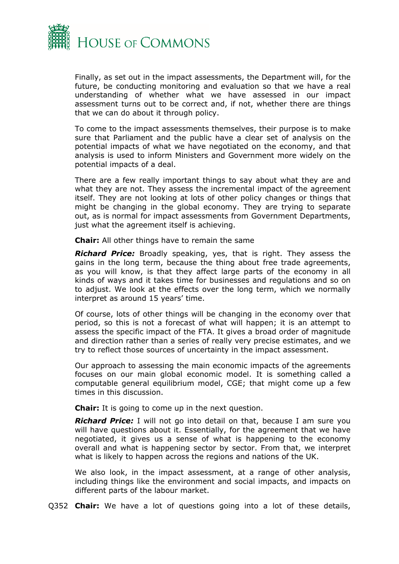

Finally, as set out in the impact assessments, the Department will, for the future, be conducting monitoring and evaluation so that we have a real understanding of whether what we have assessed in our impact assessment turns out to be correct and, if not, whether there are things that we can do about it through policy.

To come to the impact assessments themselves, their purpose is to make sure that Parliament and the public have a clear set of analysis on the potential impacts of what we have negotiated on the economy, and that analysis is used to inform Ministers and Government more widely on the potential impacts of a deal.

There are a few really important things to say about what they are and what they are not. They assess the incremental impact of the agreement itself. They are not looking at lots of other policy changes or things that might be changing in the global economy. They are trying to separate out, as is normal for impact assessments from Government Departments, just what the agreement itself is achieving.

**Chair:** All other things have to remain the same

*Richard Price:* Broadly speaking, yes, that is right. They assess the gains in the long term, because the thing about free trade agreements, as you will know, is that they affect large parts of the economy in all kinds of ways and it takes time for businesses and regulations and so on to adjust. We look at the effects over the long term, which we normally interpret as around 15 years' time.

Of course, lots of other things will be changing in the economy over that period, so this is not a forecast of what will happen; it is an attempt to assess the specific impact of the FTA. It gives a broad order of magnitude and direction rather than a series of really very precise estimates, and we try to reflect those sources of uncertainty in the impact assessment.

Our approach to assessing the main economic impacts of the agreements focuses on our main global economic model. It is something called a computable general equilibrium model, CGE; that might come up a few times in this discussion.

**Chair:** It is going to come up in the next question.

*Richard Price:* I will not go into detail on that, because I am sure you will have questions about it. Essentially, for the agreement that we have negotiated, it gives us a sense of what is happening to the economy overall and what is happening sector by sector. From that, we interpret what is likely to happen across the regions and nations of the UK.

We also look, in the impact assessment, at a range of other analysis, including things like the environment and social impacts, and impacts on different parts of the labour market.

Q352 **Chair:** We have a lot of questions going into a lot of these details,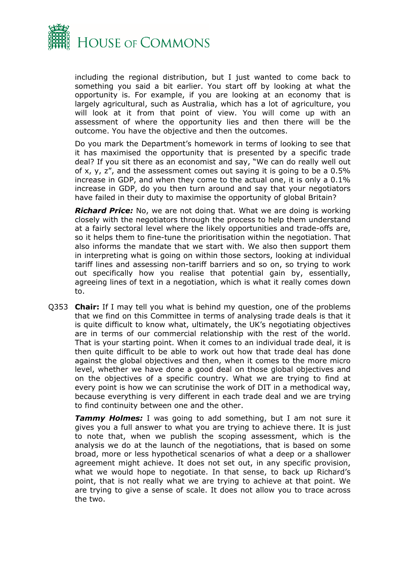

including the regional distribution, but I just wanted to come back to something you said a bit earlier. You start off by looking at what the opportunity is. For example, if you are looking at an economy that is largely agricultural, such as Australia, which has a lot of agriculture, you will look at it from that point of view. You will come up with an assessment of where the opportunity lies and then there will be the outcome. You have the objective and then the outcomes.

Do you mark the Department's homework in terms of looking to see that it has maximised the opportunity that is presented by a specific trade deal? If you sit there as an economist and say, "We can do really well out of x, y, z", and the assessment comes out saying it is going to be a 0.5% increase in GDP, and when they come to the actual one, it is only a 0.1% increase in GDP, do you then turn around and say that your negotiators have failed in their duty to maximise the opportunity of global Britain?

*Richard Price:* No, we are not doing that. What we are doing is working closely with the negotiators through the process to help them understand at a fairly sectoral level where the likely opportunities and trade-offs are, so it helps them to fine-tune the prioritisation within the negotiation. That also informs the mandate that we start with. We also then support them in interpreting what is going on within those sectors, looking at individual tariff lines and assessing non-tariff barriers and so on, so trying to work out specifically how you realise that potential gain by, essentially, agreeing lines of text in a negotiation, which is what it really comes down to.

Q353 **Chair:** If I may tell you what is behind my question, one of the problems that we find on this Committee in terms of analysing trade deals is that it is quite difficult to know what, ultimately, the UK's negotiating objectives are in terms of our commercial relationship with the rest of the world. That is your starting point. When it comes to an individual trade deal, it is then quite difficult to be able to work out how that trade deal has done against the global objectives and then, when it comes to the more micro level, whether we have done a good deal on those global objectives and on the objectives of a specific country. What we are trying to find at every point is how we can scrutinise the work of DIT in a methodical way, because everything is very different in each trade deal and we are trying to find continuity between one and the other.

**Tammy Holmes:** I was going to add something, but I am not sure it gives you a full answer to what you are trying to achieve there. It is just to note that, when we publish the scoping assessment, which is the analysis we do at the launch of the negotiations, that is based on some broad, more or less hypothetical scenarios of what a deep or a shallower agreement might achieve. It does not set out, in any specific provision, what we would hope to negotiate. In that sense, to back up Richard's point, that is not really what we are trying to achieve at that point. We are trying to give a sense of scale. It does not allow you to trace across the two.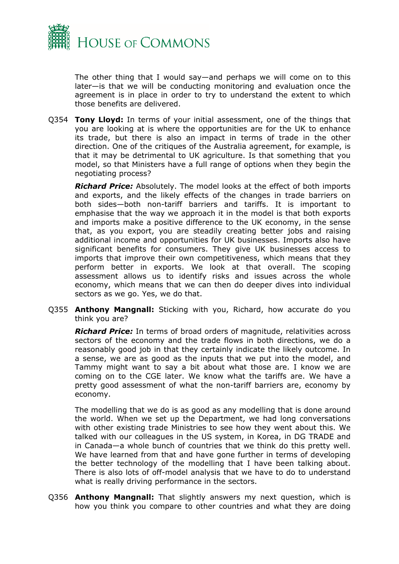

The other thing that I would say—and perhaps we will come on to this later—is that we will be conducting monitoring and evaluation once the agreement is in place in order to try to understand the extent to which those benefits are delivered.

Q354 **Tony Lloyd:** In terms of your initial assessment, one of the things that you are looking at is where the opportunities are for the UK to enhance its trade, but there is also an impact in terms of trade in the other direction. One of the critiques of the Australia agreement, for example, is that it may be detrimental to UK agriculture. Is that something that you model, so that Ministers have a full range of options when they begin the negotiating process?

*Richard Price:* Absolutely. The model looks at the effect of both imports and exports, and the likely effects of the changes in trade barriers on both sides—both non-tariff barriers and tariffs. It is important to emphasise that the way we approach it in the model is that both exports and imports make a positive difference to the UK economy, in the sense that, as you export, you are steadily creating better jobs and raising additional income and opportunities for UK businesses. Imports also have significant benefits for consumers. They give UK businesses access to imports that improve their own competitiveness, which means that they perform better in exports. We look at that overall. The scoping assessment allows us to identify risks and issues across the whole economy, which means that we can then do deeper dives into individual sectors as we go. Yes, we do that.

Q355 **Anthony Mangnall:** Sticking with you, Richard, how accurate do you think you are?

*Richard Price:* In terms of broad orders of magnitude, relativities across sectors of the economy and the trade flows in both directions, we do a reasonably good job in that they certainly indicate the likely outcome. In a sense, we are as good as the inputs that we put into the model, and Tammy might want to say a bit about what those are. I know we are coming on to the CGE later. We know what the tariffs are. We have a pretty good assessment of what the non-tariff barriers are, economy by economy.

The modelling that we do is as good as any modelling that is done around the world. When we set up the Department, we had long conversations with other existing trade Ministries to see how they went about this. We talked with our colleagues in the US system, in Korea, in DG TRADE and in Canada—a whole bunch of countries that we think do this pretty well. We have learned from that and have gone further in terms of developing the better technology of the modelling that I have been talking about. There is also lots of off-model analysis that we have to do to understand what is really driving performance in the sectors.

Q356 **Anthony Mangnall:** That slightly answers my next question, which is how you think you compare to other countries and what they are doing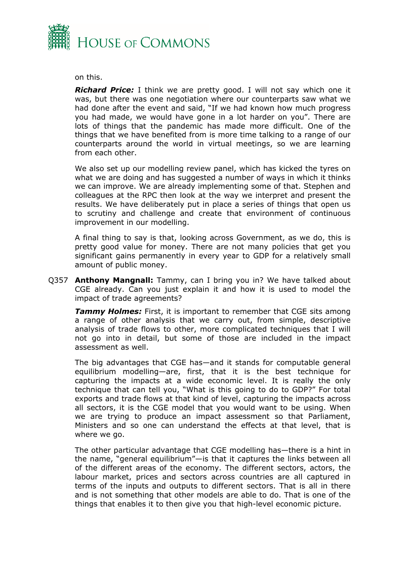

### on this.

*Richard Price:* I think we are pretty good. I will not say which one it was, but there was one negotiation where our counterparts saw what we had done after the event and said, "If we had known how much progress you had made, we would have gone in a lot harder on you". There are lots of things that the pandemic has made more difficult. One of the things that we have benefited from is more time talking to a range of our counterparts around the world in virtual meetings, so we are learning from each other.

We also set up our modelling review panel, which has kicked the tyres on what we are doing and has suggested a number of ways in which it thinks we can improve. We are already implementing some of that. Stephen and colleagues at the RPC then look at the way we interpret and present the results. We have deliberately put in place a series of things that open us to scrutiny and challenge and create that environment of continuous improvement in our modelling.

A final thing to say is that, looking across Government, as we do, this is pretty good value for money. There are not many policies that get you significant gains permanently in every year to GDP for a relatively small amount of public money.

Q357 **Anthony Mangnall:** Tammy, can I bring you in? We have talked about CGE already. Can you just explain it and how it is used to model the impact of trade agreements?

**Tammy Holmes:** First, it is important to remember that CGE sits among a range of other analysis that we carry out, from simple, descriptive analysis of trade flows to other, more complicated techniques that I will not go into in detail, but some of those are included in the impact assessment as well.

The big advantages that CGE has—and it stands for computable general equilibrium modelling—are, first, that it is the best technique for capturing the impacts at a wide economic level. It is really the only technique that can tell you, "What is this going to do to GDP?" For total exports and trade flows at that kind of level, capturing the impacts across all sectors, it is the CGE model that you would want to be using. When we are trying to produce an impact assessment so that Parliament, Ministers and so one can understand the effects at that level, that is where we go.

The other particular advantage that CGE modelling has—there is a hint in the name, "general equilibrium"—is that it captures the links between all of the different areas of the economy. The different sectors, actors, the labour market, prices and sectors across countries are all captured in terms of the inputs and outputs to different sectors. That is all in there and is not something that other models are able to do. That is one of the things that enables it to then give you that high-level economic picture.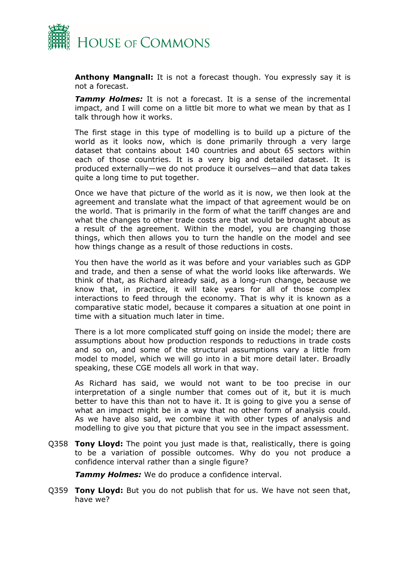

**Anthony Mangnall:** It is not a forecast though. You expressly say it is not a forecast.

**Tammy Holmes:** It is not a forecast. It is a sense of the incremental impact, and I will come on a little bit more to what we mean by that as I talk through how it works.

The first stage in this type of modelling is to build up a picture of the world as it looks now, which is done primarily through a very large dataset that contains about 140 countries and about 65 sectors within each of those countries. It is a very big and detailed dataset. It is produced externally—we do not produce it ourselves—and that data takes quite a long time to put together.

Once we have that picture of the world as it is now, we then look at the agreement and translate what the impact of that agreement would be on the world. That is primarily in the form of what the tariff changes are and what the changes to other trade costs are that would be brought about as a result of the agreement. Within the model, you are changing those things, which then allows you to turn the handle on the model and see how things change as a result of those reductions in costs.

You then have the world as it was before and your variables such as GDP and trade, and then a sense of what the world looks like afterwards. We think of that, as Richard already said, as a long-run change, because we know that, in practice, it will take years for all of those complex interactions to feed through the economy. That is why it is known as a comparative static model, because it compares a situation at one point in time with a situation much later in time.

There is a lot more complicated stuff going on inside the model; there are assumptions about how production responds to reductions in trade costs and so on, and some of the structural assumptions vary a little from model to model, which we will go into in a bit more detail later. Broadly speaking, these CGE models all work in that way.

As Richard has said, we would not want to be too precise in our interpretation of a single number that comes out of it, but it is much better to have this than not to have it. It is going to give you a sense of what an impact might be in a way that no other form of analysis could. As we have also said, we combine it with other types of analysis and modelling to give you that picture that you see in the impact assessment.

Q358 **Tony Lloyd:** The point you just made is that, realistically, there is going to be a variation of possible outcomes. Why do you not produce a confidence interval rather than a single figure?

*Tammy Holmes:* We do produce a confidence interval.

Q359 **Tony Lloyd:** But you do not publish that for us. We have not seen that, have we?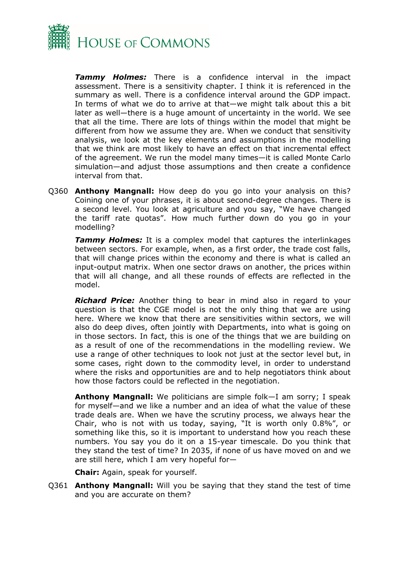

*Tammy Holmes:* There is a confidence interval in the impact assessment. There is a sensitivity chapter. I think it is referenced in the summary as well. There is a confidence interval around the GDP impact. In terms of what we do to arrive at that—we might talk about this a bit later as well—there is a huge amount of uncertainty in the world. We see that all the time. There are lots of things within the model that might be different from how we assume they are. When we conduct that sensitivity analysis, we look at the key elements and assumptions in the modelling that we think are most likely to have an effect on that incremental effect of the agreement. We run the model many times—it is called Monte Carlo simulation—and adjust those assumptions and then create a confidence interval from that.

Q360 **Anthony Mangnall:** How deep do you go into your analysis on this? Coining one of your phrases, it is about second-degree changes. There is a second level. You look at agriculture and you say, "We have changed the tariff rate quotas". How much further down do you go in your modelling?

*Tammy Holmes:* It is a complex model that captures the interlinkages between sectors. For example, when, as a first order, the trade cost falls, that will change prices within the economy and there is what is called an input-output matrix. When one sector draws on another, the prices within that will all change, and all these rounds of effects are reflected in the model.

*Richard Price:* Another thing to bear in mind also in regard to your question is that the CGE model is not the only thing that we are using here. Where we know that there are sensitivities within sectors, we will also do deep dives, often jointly with Departments, into what is going on in those sectors. In fact, this is one of the things that we are building on as a result of one of the recommendations in the modelling review. We use a range of other techniques to look not just at the sector level but, in some cases, right down to the commodity level, in order to understand where the risks and opportunities are and to help negotiators think about how those factors could be reflected in the negotiation.

**Anthony Mangnall:** We politicians are simple folk—I am sorry; I speak for myself—and we like a number and an idea of what the value of these trade deals are. When we have the scrutiny process, we always hear the Chair, who is not with us today, saying, "It is worth only 0.8%", or something like this, so it is important to understand how you reach these numbers. You say you do it on a 15-year timescale. Do you think that they stand the test of time? In 2035, if none of us have moved on and we are still here, which I am very hopeful for—

**Chair:** Again, speak for yourself.

Q361 **Anthony Mangnall:** Will you be saying that they stand the test of time and you are accurate on them?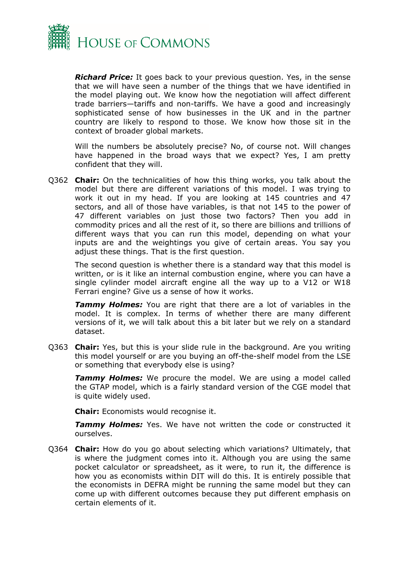

*Richard Price:* It goes back to your previous question. Yes, in the sense that we will have seen a number of the things that we have identified in the model playing out. We know how the negotiation will affect different trade barriers—tariffs and non-tariffs. We have a good and increasingly sophisticated sense of how businesses in the UK and in the partner country are likely to respond to those. We know how those sit in the context of broader global markets.

Will the numbers be absolutely precise? No, of course not. Will changes have happened in the broad ways that we expect? Yes, I am pretty confident that they will.

Q362 **Chair:** On the technicalities of how this thing works, you talk about the model but there are different variations of this model. I was trying to work it out in my head. If you are looking at 145 countries and 47 sectors, and all of those have variables, is that not 145 to the power of 47 different variables on just those two factors? Then you add in commodity prices and all the rest of it, so there are billions and trillions of different ways that you can run this model, depending on what your inputs are and the weightings you give of certain areas. You say you adjust these things. That is the first question.

The second question is whether there is a standard way that this model is written, or is it like an internal combustion engine, where you can have a single cylinder model aircraft engine all the way up to a V12 or W18 Ferrari engine? Give us a sense of how it works.

*Tammy Holmes:* You are right that there are a lot of variables in the model. It is complex. In terms of whether there are many different versions of it, we will talk about this a bit later but we rely on a standard dataset.

Q363 **Chair:** Yes, but this is your slide rule in the background. Are you writing this model yourself or are you buying an off-the-shelf model from the LSE or something that everybody else is using?

**Tammy Holmes:** We procure the model. We are using a model called the GTAP model, which is a fairly standard version of the CGE model that is quite widely used.

**Chair:** Economists would recognise it.

**Tammy Holmes:** Yes. We have not written the code or constructed it ourselves.

Q364 **Chair:** How do you go about selecting which variations? Ultimately, that is where the judgment comes into it. Although you are using the same pocket calculator or spreadsheet, as it were, to run it, the difference is how you as economists within DIT will do this. It is entirely possible that the economists in DEFRA might be running the same model but they can come up with different outcomes because they put different emphasis on certain elements of it.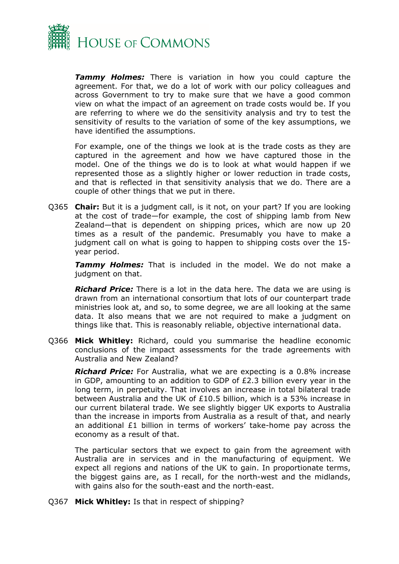

*Tammy Holmes:* There is variation in how you could capture the agreement. For that, we do a lot of work with our policy colleagues and across Government to try to make sure that we have a good common view on what the impact of an agreement on trade costs would be. If you are referring to where we do the sensitivity analysis and try to test the sensitivity of results to the variation of some of the key assumptions, we have identified the assumptions.

For example, one of the things we look at is the trade costs as they are captured in the agreement and how we have captured those in the model. One of the things we do is to look at what would happen if we represented those as a slightly higher or lower reduction in trade costs, and that is reflected in that sensitivity analysis that we do. There are a couple of other things that we put in there.

Q365 **Chair:** But it is a judgment call, is it not, on your part? If you are looking at the cost of trade—for example, the cost of shipping lamb from New Zealand—that is dependent on shipping prices, which are now up 20 times as a result of the pandemic. Presumably you have to make a judgment call on what is going to happen to shipping costs over the 15 year period.

*Tammy Holmes:* That is included in the model. We do not make a judgment on that.

*Richard Price:* There is a lot in the data here. The data we are using is drawn from an international consortium that lots of our counterpart trade ministries look at, and so, to some degree, we are all looking at the same data. It also means that we are not required to make a judgment on things like that. This is reasonably reliable, objective international data.

Q366 **Mick Whitley:** Richard, could you summarise the headline economic conclusions of the impact assessments for the trade agreements with Australia and New Zealand?

*Richard Price:* For Australia, what we are expecting is a 0.8% increase in GDP, amounting to an addition to GDP of £2.3 billion every year in the long term, in perpetuity. That involves an increase in total bilateral trade between Australia and the UK of £10.5 billion, which is a 53% increase in our current bilateral trade. We see slightly bigger UK exports to Australia than the increase in imports from Australia as a result of that, and nearly an additional £1 billion in terms of workers' take-home pay across the economy as a result of that.

The particular sectors that we expect to gain from the agreement with Australia are in services and in the manufacturing of equipment. We expect all regions and nations of the UK to gain. In proportionate terms, the biggest gains are, as I recall, for the north-west and the midlands, with gains also for the south-east and the north-east.

Q367 **Mick Whitley:** Is that in respect of shipping?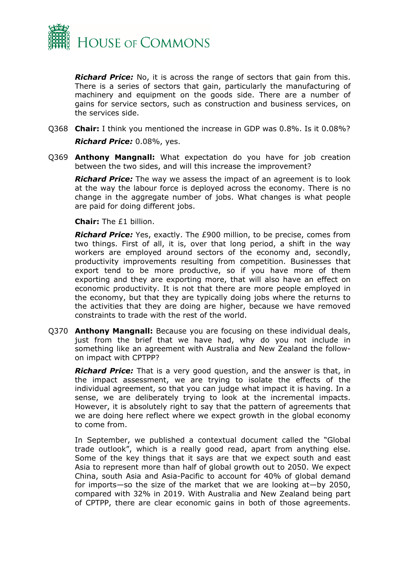

*Richard Price:* No, it is across the range of sectors that gain from this. There is a series of sectors that gain, particularly the manufacturing of machinery and equipment on the goods side. There are a number of gains for service sectors, such as construction and business services, on the services side.

Q368 **Chair:** I think you mentioned the increase in GDP was 0.8%. Is it 0.08%?

*Richard Price:* 0.08%, yes.

Q369 **Anthony Mangnall:** What expectation do you have for job creation between the two sides, and will this increase the improvement?

*Richard Price:* The way we assess the impact of an agreement is to look at the way the labour force is deployed across the economy. There is no change in the aggregate number of jobs. What changes is what people are paid for doing different jobs.

**Chair:** The £1 billion.

*Richard Price:* Yes, exactly. The £900 million, to be precise, comes from two things. First of all, it is, over that long period, a shift in the way workers are employed around sectors of the economy and, secondly, productivity improvements resulting from competition. Businesses that export tend to be more productive, so if you have more of them exporting and they are exporting more, that will also have an effect on economic productivity. It is not that there are more people employed in the economy, but that they are typically doing jobs where the returns to the activities that they are doing are higher, because we have removed constraints to trade with the rest of the world.

Q370 **Anthony Mangnall:** Because you are focusing on these individual deals, just from the brief that we have had, why do you not include in something like an agreement with Australia and New Zealand the followon impact with CPTPP?

*Richard Price:* That is a very good question, and the answer is that, in the impact assessment, we are trying to isolate the effects of the individual agreement, so that you can judge what impact it is having. In a sense, we are deliberately trying to look at the incremental impacts. However, it is absolutely right to say that the pattern of agreements that we are doing here reflect where we expect growth in the global economy to come from.

In September, we published a contextual document called the "Global trade outlook", which is a really good read, apart from anything else. Some of the key things that it says are that we expect south and east Asia to represent more than half of global growth out to 2050. We expect China, south Asia and Asia-Pacific to account for 40% of global demand for imports—so the size of the market that we are looking at—by 2050, compared with 32% in 2019. With Australia and New Zealand being part of CPTPP, there are clear economic gains in both of those agreements.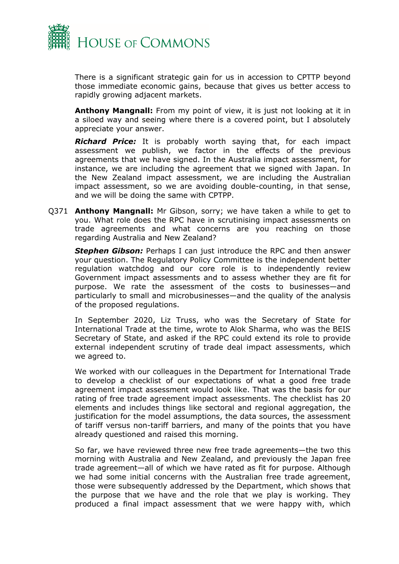

There is a significant strategic gain for us in accession to CPTTP beyond those immediate economic gains, because that gives us better access to rapidly growing adjacent markets.

**Anthony Mangnall:** From my point of view, it is just not looking at it in a siloed way and seeing where there is a covered point, but I absolutely appreciate your answer.

*Richard Price:* It is probably worth saying that, for each impact assessment we publish, we factor in the effects of the previous agreements that we have signed. In the Australia impact assessment, for instance, we are including the agreement that we signed with Japan. In the New Zealand impact assessment, we are including the Australian impact assessment, so we are avoiding double-counting, in that sense, and we will be doing the same with CPTPP.

Q371 **Anthony Mangnall:** Mr Gibson, sorry; we have taken a while to get to you. What role does the RPC have in scrutinising impact assessments on trade agreements and what concerns are you reaching on those regarding Australia and New Zealand?

**Stephen Gibson:** Perhaps I can just introduce the RPC and then answer your question. The Regulatory Policy Committee is the independent better regulation watchdog and our core role is to independently review Government impact assessments and to assess whether they are fit for purpose. We rate the assessment of the costs to businesses—and particularly to small and microbusinesses—and the quality of the analysis of the proposed regulations.

In September 2020, Liz Truss, who was the Secretary of State for International Trade at the time, wrote to Alok Sharma, who was the BEIS Secretary of State, and asked if the RPC could extend its role to provide external independent scrutiny of trade deal impact assessments, which we agreed to.

We worked with our colleagues in the Department for International Trade to develop a checklist of our expectations of what a good free trade agreement impact assessment would look like. That was the basis for our rating of free trade agreement impact assessments. The checklist has 20 elements and includes things like sectoral and regional aggregation, the justification for the model assumptions, the data sources, the assessment of tariff versus non-tariff barriers, and many of the points that you have already questioned and raised this morning.

So far, we have reviewed three new free trade agreements—the two this morning with Australia and New Zealand, and previously the Japan free trade agreement—all of which we have rated as fit for purpose. Although we had some initial concerns with the Australian free trade agreement, those were subsequently addressed by the Department, which shows that the purpose that we have and the role that we play is working. They produced a final impact assessment that we were happy with, which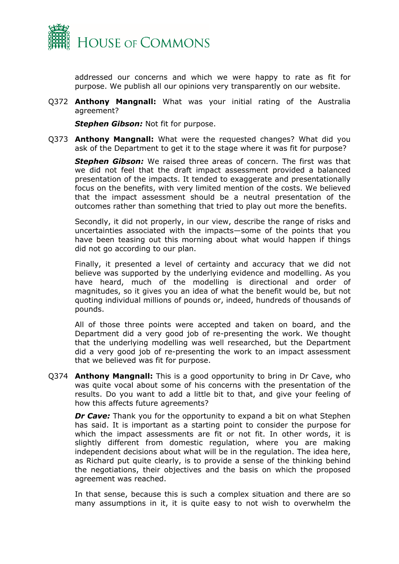

addressed our concerns and which we were happy to rate as fit for purpose. We publish all our opinions very transparently on our website.

Q372 **Anthony Mangnall:** What was your initial rating of the Australia agreement?

*Stephen Gibson:* Not fit for purpose.

Q373 **Anthony Mangnall:** What were the requested changes? What did you ask of the Department to get it to the stage where it was fit for purpose?

*Stephen Gibson:* We raised three areas of concern. The first was that we did not feel that the draft impact assessment provided a balanced presentation of the impacts. It tended to exaggerate and presentationally focus on the benefits, with very limited mention of the costs. We believed that the impact assessment should be a neutral presentation of the outcomes rather than something that tried to play out more the benefits.

Secondly, it did not properly, in our view, describe the range of risks and uncertainties associated with the impacts—some of the points that you have been teasing out this morning about what would happen if things did not go according to our plan.

Finally, it presented a level of certainty and accuracy that we did not believe was supported by the underlying evidence and modelling. As you have heard, much of the modelling is directional and order of magnitudes, so it gives you an idea of what the benefit would be, but not quoting individual millions of pounds or, indeed, hundreds of thousands of pounds.

All of those three points were accepted and taken on board, and the Department did a very good job of re-presenting the work. We thought that the underlying modelling was well researched, but the Department did a very good job of re-presenting the work to an impact assessment that we believed was fit for purpose.

Q374 **Anthony Mangnall:** This is a good opportunity to bring in Dr Cave, who was quite vocal about some of his concerns with the presentation of the results. Do you want to add a little bit to that, and give your feeling of how this affects future agreements?

*Dr Cave:* Thank you for the opportunity to expand a bit on what Stephen has said. It is important as a starting point to consider the purpose for which the impact assessments are fit or not fit. In other words, it is slightly different from domestic regulation, where you are making independent decisions about what will be in the regulation. The idea here, as Richard put quite clearly, is to provide a sense of the thinking behind the negotiations, their objectives and the basis on which the proposed agreement was reached.

In that sense, because this is such a complex situation and there are so many assumptions in it, it is quite easy to not wish to overwhelm the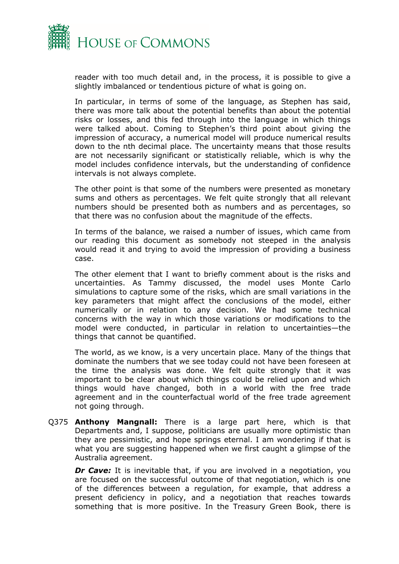

reader with too much detail and, in the process, it is possible to give a slightly imbalanced or tendentious picture of what is going on.

In particular, in terms of some of the language, as Stephen has said, there was more talk about the potential benefits than about the potential risks or losses, and this fed through into the language in which things were talked about. Coming to Stephen's third point about giving the impression of accuracy, a numerical model will produce numerical results down to the nth decimal place. The uncertainty means that those results are not necessarily significant or statistically reliable, which is why the model includes confidence intervals, but the understanding of confidence intervals is not always complete.

The other point is that some of the numbers were presented as monetary sums and others as percentages. We felt quite strongly that all relevant numbers should be presented both as numbers and as percentages, so that there was no confusion about the magnitude of the effects.

In terms of the balance, we raised a number of issues, which came from our reading this document as somebody not steeped in the analysis would read it and trying to avoid the impression of providing a business case.

The other element that I want to briefly comment about is the risks and uncertainties. As Tammy discussed, the model uses Monte Carlo simulations to capture some of the risks, which are small variations in the key parameters that might affect the conclusions of the model, either numerically or in relation to any decision. We had some technical concerns with the way in which those variations or modifications to the model were conducted, in particular in relation to uncertainties—the things that cannot be quantified.

The world, as we know, is a very uncertain place. Many of the things that dominate the numbers that we see today could not have been foreseen at the time the analysis was done. We felt quite strongly that it was important to be clear about which things could be relied upon and which things would have changed, both in a world with the free trade agreement and in the counterfactual world of the free trade agreement not going through.

Q375 **Anthony Mangnall:** There is a large part here, which is that Departments and, I suppose, politicians are usually more optimistic than they are pessimistic, and hope springs eternal. I am wondering if that is what you are suggesting happened when we first caught a glimpse of the Australia agreement.

*Dr Cave:* It is inevitable that, if you are involved in a negotiation, you are focused on the successful outcome of that negotiation, which is one of the differences between a regulation, for example, that address a present deficiency in policy, and a negotiation that reaches towards something that is more positive. In the Treasury Green Book, there is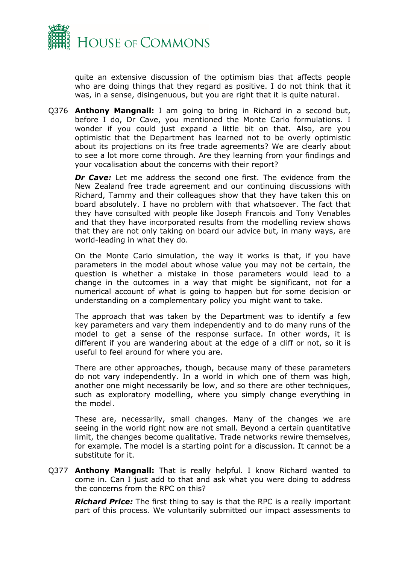

quite an extensive discussion of the optimism bias that affects people who are doing things that they regard as positive. I do not think that it was, in a sense, disingenuous, but you are right that it is quite natural.

Q376 **Anthony Mangnall:** I am going to bring in Richard in a second but, before I do, Dr Cave, you mentioned the Monte Carlo formulations. I wonder if you could just expand a little bit on that. Also, are you optimistic that the Department has learned not to be overly optimistic about its projections on its free trade agreements? We are clearly about to see a lot more come through. Are they learning from your findings and your vocalisation about the concerns with their report?

*Dr Cave:* Let me address the second one first. The evidence from the New Zealand free trade agreement and our continuing discussions with Richard, Tammy and their colleagues show that they have taken this on board absolutely. I have no problem with that whatsoever. The fact that they have consulted with people like Joseph Francois and Tony Venables and that they have incorporated results from the modelling review shows that they are not only taking on board our advice but, in many ways, are world-leading in what they do.

On the Monte Carlo simulation, the way it works is that, if you have parameters in the model about whose value you may not be certain, the question is whether a mistake in those parameters would lead to a change in the outcomes in a way that might be significant, not for a numerical account of what is going to happen but for some decision or understanding on a complementary policy you might want to take.

The approach that was taken by the Department was to identify a few key parameters and vary them independently and to do many runs of the model to get a sense of the response surface. In other words, it is different if you are wandering about at the edge of a cliff or not, so it is useful to feel around for where you are.

There are other approaches, though, because many of these parameters do not vary independently. In a world in which one of them was high, another one might necessarily be low, and so there are other techniques, such as exploratory modelling, where you simply change everything in the model.

These are, necessarily, small changes. Many of the changes we are seeing in the world right now are not small. Beyond a certain quantitative limit, the changes become qualitative. Trade networks rewire themselves, for example. The model is a starting point for a discussion. It cannot be a substitute for it.

Q377 **Anthony Mangnall:** That is really helpful. I know Richard wanted to come in. Can I just add to that and ask what you were doing to address the concerns from the RPC on this?

*Richard Price:* The first thing to say is that the RPC is a really important part of this process. We voluntarily submitted our impact assessments to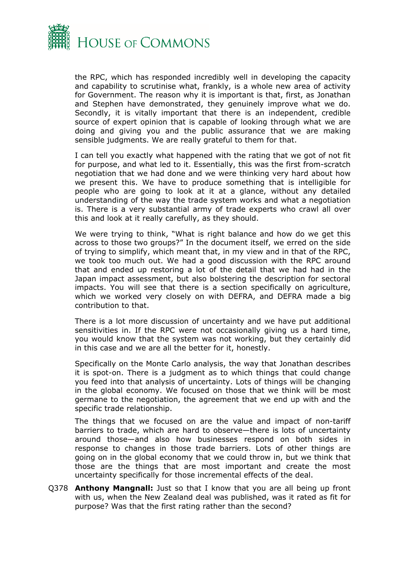

the RPC, which has responded incredibly well in developing the capacity and capability to scrutinise what, frankly, is a whole new area of activity for Government. The reason why it is important is that, first, as Jonathan and Stephen have demonstrated, they genuinely improve what we do. Secondly, it is vitally important that there is an independent, credible source of expert opinion that is capable of looking through what we are doing and giving you and the public assurance that we are making sensible judgments. We are really grateful to them for that.

I can tell you exactly what happened with the rating that we got of not fit for purpose, and what led to it. Essentially, this was the first from-scratch negotiation that we had done and we were thinking very hard about how we present this. We have to produce something that is intelligible for people who are going to look at it at a glance, without any detailed understanding of the way the trade system works and what a negotiation is. There is a very substantial army of trade experts who crawl all over this and look at it really carefully, as they should.

We were trying to think, "What is right balance and how do we get this across to those two groups?" In the document itself, we erred on the side of trying to simplify, which meant that, in my view and in that of the RPC, we took too much out. We had a good discussion with the RPC around that and ended up restoring a lot of the detail that we had had in the Japan impact assessment, but also bolstering the description for sectoral impacts. You will see that there is a section specifically on agriculture, which we worked very closely on with DEFRA, and DEFRA made a big contribution to that.

There is a lot more discussion of uncertainty and we have put additional sensitivities in. If the RPC were not occasionally giving us a hard time, you would know that the system was not working, but they certainly did in this case and we are all the better for it, honestly.

Specifically on the Monte Carlo analysis, the way that Jonathan describes it is spot-on. There is a judgment as to which things that could change you feed into that analysis of uncertainty. Lots of things will be changing in the global economy. We focused on those that we think will be most germane to the negotiation, the agreement that we end up with and the specific trade relationship.

The things that we focused on are the value and impact of non-tariff barriers to trade, which are hard to observe—there is lots of uncertainty around those—and also how businesses respond on both sides in response to changes in those trade barriers. Lots of other things are going on in the global economy that we could throw in, but we think that those are the things that are most important and create the most uncertainty specifically for those incremental effects of the deal.

Q378 **Anthony Mangnall:** Just so that I know that you are all being up front with us, when the New Zealand deal was published, was it rated as fit for purpose? Was that the first rating rather than the second?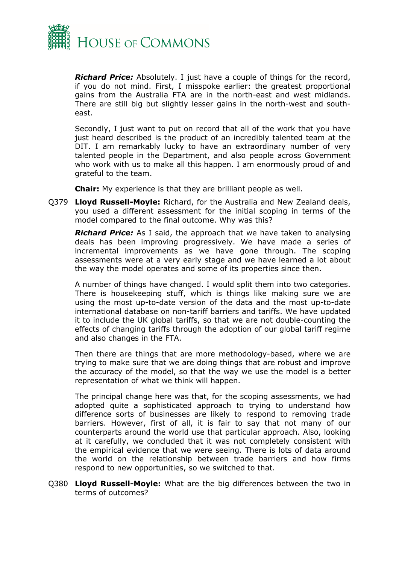

*Richard Price:* Absolutely. I just have a couple of things for the record, if you do not mind. First, I misspoke earlier: the greatest proportional gains from the Australia FTA are in the north-east and west midlands. There are still big but slightly lesser gains in the north-west and southeast.

Secondly, I just want to put on record that all of the work that you have just heard described is the product of an incredibly talented team at the DIT. I am remarkably lucky to have an extraordinary number of very talented people in the Department, and also people across Government who work with us to make all this happen. I am enormously proud of and grateful to the team.

**Chair:** My experience is that they are brilliant people as well.

Q379 **Lloyd Russell-Moyle:** Richard, for the Australia and New Zealand deals, you used a different assessment for the initial scoping in terms of the model compared to the final outcome. Why was this?

*Richard Price:* As I said, the approach that we have taken to analysing deals has been improving progressively. We have made a series of incremental improvements as we have gone through. The scoping assessments were at a very early stage and we have learned a lot about the way the model operates and some of its properties since then.

A number of things have changed. I would split them into two categories. There is housekeeping stuff, which is things like making sure we are using the most up-to-date version of the data and the most up-to-date international database on non-tariff barriers and tariffs. We have updated it to include the UK global tariffs, so that we are not double-counting the effects of changing tariffs through the adoption of our global tariff regime and also changes in the FTA.

Then there are things that are more methodology-based, where we are trying to make sure that we are doing things that are robust and improve the accuracy of the model, so that the way we use the model is a better representation of what we think will happen.

The principal change here was that, for the scoping assessments, we had adopted quite a sophisticated approach to trying to understand how difference sorts of businesses are likely to respond to removing trade barriers. However, first of all, it is fair to say that not many of our counterparts around the world use that particular approach. Also, looking at it carefully, we concluded that it was not completely consistent with the empirical evidence that we were seeing. There is lots of data around the world on the relationship between trade barriers and how firms respond to new opportunities, so we switched to that.

Q380 **Lloyd Russell-Moyle:** What are the big differences between the two in terms of outcomes?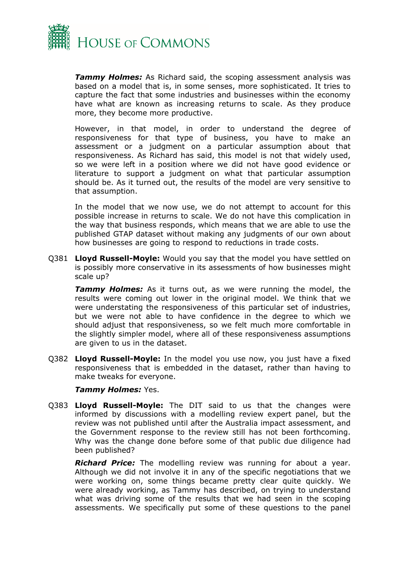

*Tammy Holmes:* As Richard said, the scoping assessment analysis was based on a model that is, in some senses, more sophisticated. It tries to capture the fact that some industries and businesses within the economy have what are known as increasing returns to scale. As they produce more, they become more productive.

However, in that model, in order to understand the degree of responsiveness for that type of business, you have to make an assessment or a judgment on a particular assumption about that responsiveness. As Richard has said, this model is not that widely used, so we were left in a position where we did not have good evidence or literature to support a judgment on what that particular assumption should be. As it turned out, the results of the model are very sensitive to that assumption.

In the model that we now use, we do not attempt to account for this possible increase in returns to scale. We do not have this complication in the way that business responds, which means that we are able to use the published GTAP dataset without making any judgments of our own about how businesses are going to respond to reductions in trade costs.

Q381 **Lloyd Russell-Moyle:** Would you say that the model you have settled on is possibly more conservative in its assessments of how businesses might scale up?

**Tammy Holmes:** As it turns out, as we were running the model, the results were coming out lower in the original model. We think that we were understating the responsiveness of this particular set of industries, but we were not able to have confidence in the degree to which we should adjust that responsiveness, so we felt much more comfortable in the slightly simpler model, where all of these responsiveness assumptions are given to us in the dataset.

Q382 **Lloyd Russell-Moyle:** In the model you use now, you just have a fixed responsiveness that is embedded in the dataset, rather than having to make tweaks for everyone.

#### *Tammy Holmes:* Yes.

Q383 **Lloyd Russell-Moyle:** The DIT said to us that the changes were informed by discussions with a modelling review expert panel, but the review was not published until after the Australia impact assessment, and the Government response to the review still has not been forthcoming. Why was the change done before some of that public due diligence had been published?

*Richard Price:* The modelling review was running for about a year. Although we did not involve it in any of the specific negotiations that we were working on, some things became pretty clear quite quickly. We were already working, as Tammy has described, on trying to understand what was driving some of the results that we had seen in the scoping assessments. We specifically put some of these questions to the panel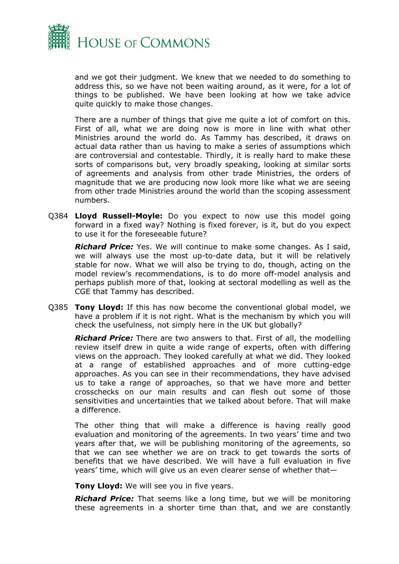

and we got their judgment. We knew that we needed to do something to address this, so we have not been waiting around, as it were, for a lot of things to be published. We have been looking at how we take advice quite quickly to make those changes.

There are a number of things that give me quite a lot of comfort on this. First of all, what we are doing now is more in line with what other Ministries around the world do. As Tammy has described, it draws on actual data rather than us having to make a series of assumptions which are controversial and contestable. Thirdly, it is really hard to make these sorts of comparisons but, very broadly speaking, looking at similar sorts of agreements and analysis from other trade Ministries, the orders of magnitude that we are producing now look more like what we are seeing from other trade Ministries around the world than the scoping assessment numbers.

Q384 **Lloyd Russell-Moyle:** Do you expect to now use this model going forward in a fixed way? Nothing is fixed forever, is it, but do you expect to use it for the foreseeable future?

*Richard Price:* Yes. We will continue to make some changes. As I said, we will always use the most up-to-date data, but it will be relatively stable for now. What we will also be trying to do, though, acting on the model review's recommendations, is to do more off-model analysis and perhaps publish more of that, looking at sectoral modelling as well as the CGE that Tammy has described.

Q385 **Tony Lloyd:** If this has now become the conventional global model, we have a problem if it is not right. What is the mechanism by which you will check the usefulness, not simply here in the UK but globally?

*Richard Price:* There are two answers to that. First of all, the modelling review itself drew in quite a wide range of experts, often with differing views on the approach. They looked carefully at what we did. They looked at a range of established approaches and of more cutting-edge approaches. As you can see in their recommendations, they have advised us to take a range of approaches, so that we have more and better crosschecks on our main results and can flesh out some of those sensitivities and uncertainties that we talked about before. That will make a difference.

The other thing that will make a difference is having really good evaluation and monitoring of the agreements. In two years' time and two years after that, we will be publishing monitoring of the agreements, so that we can see whether we are on track to get towards the sorts of benefits that we have described. We will have a full evaluation in five years' time, which will give us an even clearer sense of whether that—

**Tony Lloyd:** We will see you in five years.

*Richard Price:* That seems like a long time, but we will be monitoring these agreements in a shorter time than that, and we are constantly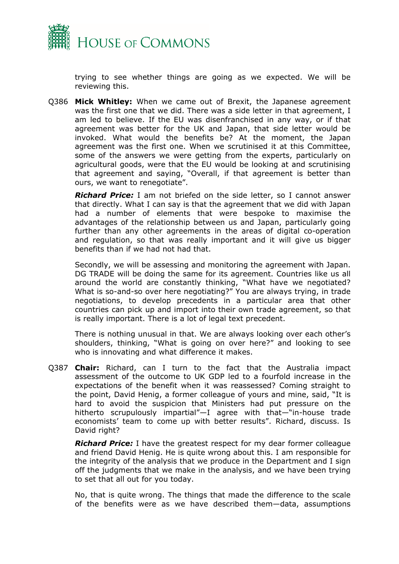

trying to see whether things are going as we expected. We will be reviewing this.

Q386 **Mick Whitley:** When we came out of Brexit, the Japanese agreement was the first one that we did. There was a side letter in that agreement, I am led to believe. If the EU was disenfranchised in any way, or if that agreement was better for the UK and Japan, that side letter would be invoked. What would the benefits be? At the moment, the Japan agreement was the first one. When we scrutinised it at this Committee, some of the answers we were getting from the experts, particularly on agricultural goods, were that the EU would be looking at and scrutinising that agreement and saying, "Overall, if that agreement is better than ours, we want to renegotiate".

*Richard Price:* I am not briefed on the side letter, so I cannot answer that directly. What I can say is that the agreement that we did with Japan had a number of elements that were bespoke to maximise the advantages of the relationship between us and Japan, particularly going further than any other agreements in the areas of digital co-operation and regulation, so that was really important and it will give us bigger benefits than if we had not had that.

Secondly, we will be assessing and monitoring the agreement with Japan. DG TRADE will be doing the same for its agreement. Countries like us all around the world are constantly thinking, "What have we negotiated? What is so-and-so over here negotiating?" You are always trying, in trade negotiations, to develop precedents in a particular area that other countries can pick up and import into their own trade agreement, so that is really important. There is a lot of legal text precedent.

There is nothing unusual in that. We are always looking over each other's shoulders, thinking, "What is going on over here?" and looking to see who is innovating and what difference it makes.

Q387 **Chair:** Richard, can I turn to the fact that the Australia impact assessment of the outcome to UK GDP led to a fourfold increase in the expectations of the benefit when it was reassessed? Coming straight to the point, David Henig, a former colleague of yours and mine, said, "It is hard to avoid the suspicion that Ministers had put pressure on the hitherto scrupulously impartial"—I agree with that—"in-house trade economists' team to come up with better results". Richard, discuss. Is David right?

*Richard Price:* I have the greatest respect for my dear former colleague and friend David Henig. He is quite wrong about this. I am responsible for the integrity of the analysis that we produce in the Department and I sign off the judgments that we make in the analysis, and we have been trying to set that all out for you today.

No, that is quite wrong. The things that made the difference to the scale of the benefits were as we have described them—data, assumptions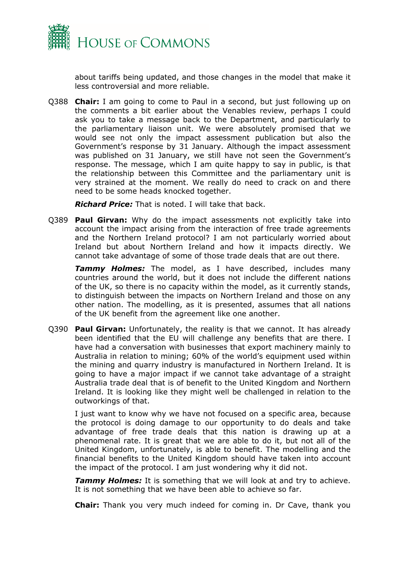

about tariffs being updated, and those changes in the model that make it less controversial and more reliable.

Q388 **Chair:** I am going to come to Paul in a second, but just following up on the comments a bit earlier about the Venables review, perhaps I could ask you to take a message back to the Department, and particularly to the parliamentary liaison unit. We were absolutely promised that we would see not only the impact assessment publication but also the Government's response by 31 January. Although the impact assessment was published on 31 January, we still have not seen the Government's response. The message, which I am quite happy to say in public, is that the relationship between this Committee and the parliamentary unit is very strained at the moment. We really do need to crack on and there need to be some heads knocked together.

*Richard Price:* That is noted. I will take that back.

Q389 **Paul Girvan:** Why do the impact assessments not explicitly take into account the impact arising from the interaction of free trade agreements and the Northern Ireland protocol? I am not particularly worried about Ireland but about Northern Ireland and how it impacts directly. We cannot take advantage of some of those trade deals that are out there.

*Tammy Holmes:* The model, as I have described, includes many countries around the world, but it does not include the different nations of the UK, so there is no capacity within the model, as it currently stands, to distinguish between the impacts on Northern Ireland and those on any other nation. The modelling, as it is presented, assumes that all nations of the UK benefit from the agreement like one another.

Q390 **Paul Girvan:** Unfortunately, the reality is that we cannot. It has already been identified that the EU will challenge any benefits that are there. I have had a conversation with businesses that export machinery mainly to Australia in relation to mining; 60% of the world's equipment used within the mining and quarry industry is manufactured in Northern Ireland. It is going to have a major impact if we cannot take advantage of a straight Australia trade deal that is of benefit to the United Kingdom and Northern Ireland. It is looking like they might well be challenged in relation to the outworkings of that.

I just want to know why we have not focused on a specific area, because the protocol is doing damage to our opportunity to do deals and take advantage of free trade deals that this nation is drawing up at a phenomenal rate. It is great that we are able to do it, but not all of the United Kingdom, unfortunately, is able to benefit. The modelling and the financial benefits to the United Kingdom should have taken into account the impact of the protocol. I am just wondering why it did not.

*Tammy Holmes:* It is something that we will look at and try to achieve. It is not something that we have been able to achieve so far.

**Chair:** Thank you very much indeed for coming in. Dr Cave, thank you